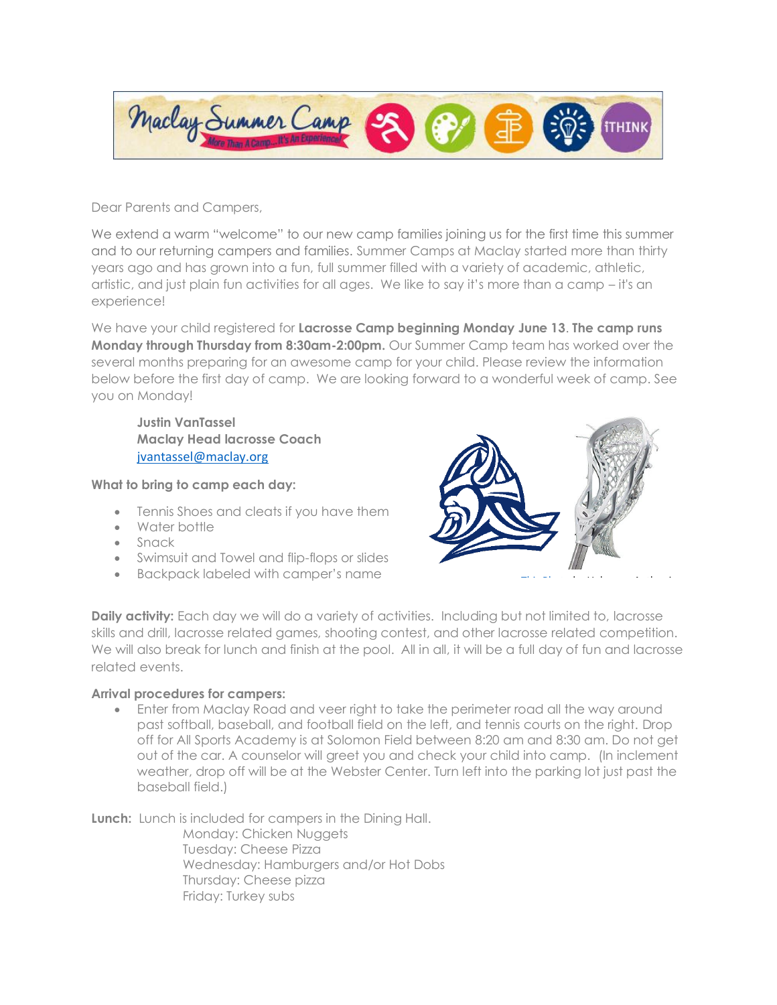

Dear Parents and Campers,

We extend a warm "welcome" to our new camp families joining us for the first time this summer and to our returning campers and families. Summer Camps at Maclay started more than thirty years ago and has grown into a fun, full summer filled with a variety of academic, athletic, artistic, and just plain fun activities for all ages. We like to say it's more than a camp – it's an experience!

We have your child registered for **Lacrosse Camp beginning Monday June 13**. **The camp runs Monday through Thursday from 8:30am-2:00pm.** Our Summer Camp team has worked over the several months preparing for an awesome camp for your child. Please review the information below before the first day of camp. We are looking forward to a wonderful week of camp. See you on Monday!

**Justin VanTassel Maclay Head lacrosse Coach** [jvantassel@maclay.org](mailto:jvantassel@maclay.org)

### **What to bring to camp each day:**

- Tennis Shoes and cleats if you have them
- Water bottle
- Snack
- Swimsuit and Towel and flip-flops or slides
- Backpack labeled with camper's name



**Daily activity:** Each day we will do a variety of activities. Including but not limite[d to, la](https://creativecommons.org/licenses/by/3.0/)crosse skills and drill, lacrosse related games, shooting contest, and other lacrosse related competition. We will also break for lunch and finish at the pool. All in all, it will be a full day of fun and lacrosse related events.

### **Arrival procedures for campers:**

• Enter from Maclay Road and veer right to take the perimeter road all the way around past softball, baseball, and football field on the left, and tennis courts on the right. Drop off for All Sports Academy is at Solomon Field between 8:20 am and 8:30 am. Do not get out of the car. A counselor will greet you and check your child into camp. (In inclement weather, drop off will be at the Webster Center. Turn left into the parking lot just past the baseball field.)

**Lunch:** Lunch is included for campers in the Dining Hall. Monday: Chicken Nuggets Tuesday: Cheese Pizza Wednesday: Hamburgers and/or Hot Dobs Thursday: Cheese pizza Friday: Turkey subs